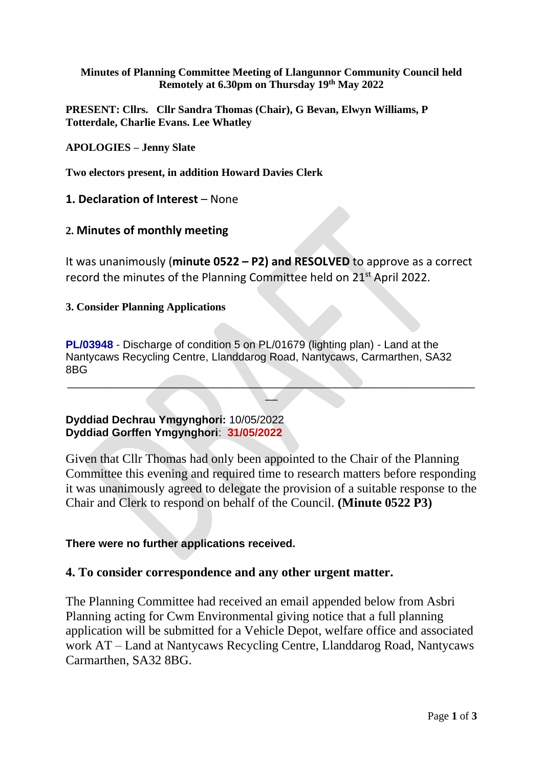**Minutes of Planning Committee Meeting of Llangunnor Community Council held Remotely at 6.30pm on Thursday 19th May 2022**

**PRESENT: Cllrs. Cllr Sandra Thomas (Chair), G Bevan, Elwyn Williams, P Totterdale, Charlie Evans. Lee Whatley**

**APOLOGIES – Jenny Slate**

**Two electors present, in addition Howard Davies Clerk**

**1. Declaration of Interest** – None

# **2. Minutes of monthly meeting**

It was unanimously (**minute 0522 – P2) and RESOLVED** to approve as a correct record the minutes of the Planning Committee held on 21<sup>st</sup> April 2022.

#### **3. Consider Planning Applications**

**PL/03948** - Discharge of condition 5 on PL/01679 (lighting plan) - Land at the Nantycaws Recycling Centre, Llanddarog Road, Nantycaws, Carmarthen, SA32 8BG

 $\mathcal{L} = \{ \mathcal{L} \mid \mathcal{L} \in \mathcal{L} \}$  , where  $\mathcal{L} = \{ \mathcal{L} \mid \mathcal{L} \in \mathcal{L} \}$  , where  $\mathcal{L} = \{ \mathcal{L} \mid \mathcal{L} \in \mathcal{L} \}$  $\overline{\phantom{a}}$ 

# **Dyddiad Dechrau Ymgynghori:** 10/05/2022 **Dyddiad Gorffen Ymgynghori**: **31/05/2022**

Given that Cllr Thomas had only been appointed to the Chair of the Planning Committee this evening and required time to research matters before responding it was unanimously agreed to delegate the provision of a suitable response to the Chair and Clerk to respond on behalf of the Council. **(Minute 0522 P3)**

# **There were no further applications received.**

# **4. To consider correspondence and any other urgent matter.**

The Planning Committee had received an email appended below from Asbri Planning acting for Cwm Environmental giving notice that a full planning application will be submitted for a Vehicle Depot, welfare office and associated work AT – Land at Nantycaws Recycling Centre, Llanddarog Road, Nantycaws Carmarthen, SA32 8BG.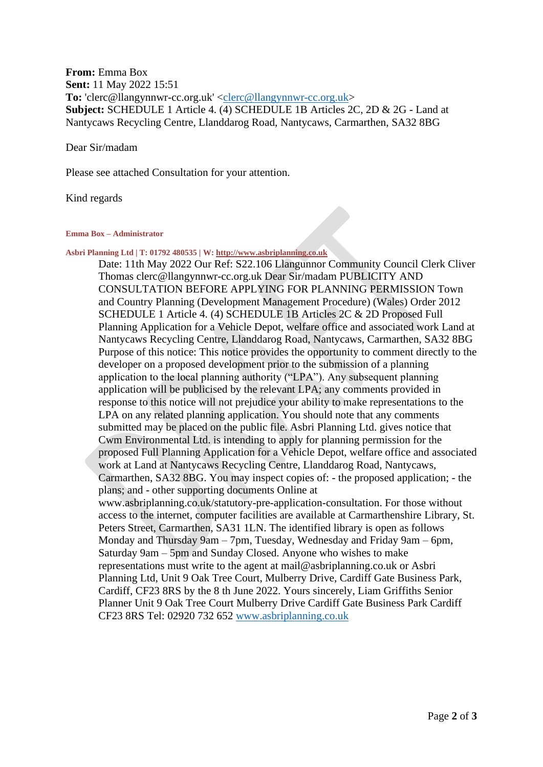### **From:** Emma Box **Sent:** 11 May 2022 15:51 To: 'clerc@llangynnwr-cc.org.uk' [<clerc@llangynnwr-cc.org.uk>](mailto:clerc@llangynnwr-cc.org.uk) **Subject:** SCHEDULE 1 Article 4. (4) SCHEDULE 1B Articles 2C, 2D & 2G - Land at Nantycaws Recycling Centre, Llanddarog Road, Nantycaws, Carmarthen, SA32 8BG

#### Dear Sir/madam

Please see attached Consultation for your attention.

#### Kind regards

#### **Emma Box – Administrator**

**Asbri Planning Ltd | T: 01792 480535 | W[: http://www.asbriplanning.co.uk](http://www.asbriplanning.co.uk/)**

Date: 11th May 2022 Our Ref: S22.106 Llangunnor Community Council Clerk Cliver Thomas clerc@llangynnwr-cc.org.uk Dear Sir/madam PUBLICITY AND CONSULTATION BEFORE APPLYING FOR PLANNING PERMISSION Town and Country Planning (Development Management Procedure) (Wales) Order 2012 SCHEDULE 1 Article 4. (4) SCHEDULE 1B Articles 2C & 2D Proposed Full Planning Application for a Vehicle Depot, welfare office and associated work Land at Nantycaws Recycling Centre, Llanddarog Road, Nantycaws, Carmarthen, SA32 8BG Purpose of this notice: This notice provides the opportunity to comment directly to the developer on a proposed development prior to the submission of a planning application to the local planning authority ("LPA"). Any subsequent planning application will be publicised by the relevant LPA; any comments provided in response to this notice will not prejudice your ability to make representations to the LPA on any related planning application. You should note that any comments submitted may be placed on the public file. Asbri Planning Ltd. gives notice that Cwm Environmental Ltd. is intending to apply for planning permission for the proposed Full Planning Application for a Vehicle Depot, welfare office and associated work at Land at Nantycaws Recycling Centre, Llanddarog Road, Nantycaws, Carmarthen, SA32 8BG. You may inspect copies of: - the proposed application; - the plans; and - other supporting documents Online at www.asbriplanning.co.uk/statutory-pre-application-consultation. For those without access to the internet, computer facilities are available at Carmarthenshire Library, St. Peters Street, Carmarthen, SA31 1LN. The identified library is open as follows Monday and Thursday 9am – 7pm, Tuesday, Wednesday and Friday 9am – 6pm, Saturday 9am – 5pm and Sunday Closed. Anyone who wishes to make representations must write to the agent at mail@asbriplanning.co.uk or Asbri Planning Ltd, Unit 9 Oak Tree Court, Mulberry Drive, Cardiff Gate Business Park, Cardiff, CF23 8RS by the 8 th June 2022. Yours sincerely, Liam Griffiths Senior Planner Unit 9 Oak Tree Court Mulberry Drive Cardiff Gate Business Park Cardiff CF23 8RS Tel: 02920 732 652 [www.asbriplanning.co.uk](http://www.asbriplanning.co.uk/)